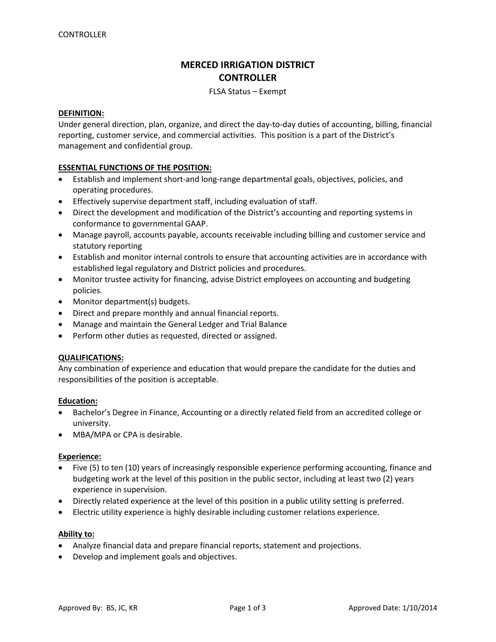# **MERCED IRRIGATION DISTRICT CONTROLLER**

# FLSA Status – Exempt

# **DEFINITION:**

Under general direction, plan, organize, and direct the day‐to‐day duties of accounting, billing, financial reporting, customer service, and commercial activities. This position is a part of the District's management and confidential group.

# **ESSENTIAL FUNCTIONS OF THE POSITION:**

- Establish and implement short‐and long‐range departmental goals, objectives, policies, and operating procedures.
- Effectively supervise department staff, including evaluation of staff.
- Direct the development and modification of the District's accounting and reporting systems in conformance to governmental GAAP.
- Manage payroll, accounts payable, accounts receivable including billing and customer service and statutory reporting
- Establish and monitor internal controls to ensure that accounting activities are in accordance with established legal regulatory and District policies and procedures.
- Monitor trustee activity for financing, advise District employees on accounting and budgeting policies.
- Monitor department(s) budgets.
- Direct and prepare monthly and annual financial reports.
- Manage and maintain the General Ledger and Trial Balance
- Perform other duties as requested, directed or assigned.

# **QUALIFICATIONS:**

Any combination of experience and education that would prepare the candidate for the duties and responsibilities of the position is acceptable.

# **Education:**

- Bachelor's Degree in Finance, Accounting or a directly related field from an accredited college or university.
- MBA/MPA or CPA is desirable.

# **Experience:**

- Five (5) to ten (10) years of increasingly responsible experience performing accounting, finance and budgeting work at the level of this position in the public sector, including at least two (2) years experience in supervision.
- Directly related experience at the level of this position in a public utility setting is preferred.
- Electric utility experience is highly desirable including customer relations experience.

# **Ability to:**

- Analyze financial data and prepare financial reports, statement and projections.
- Develop and implement goals and objectives.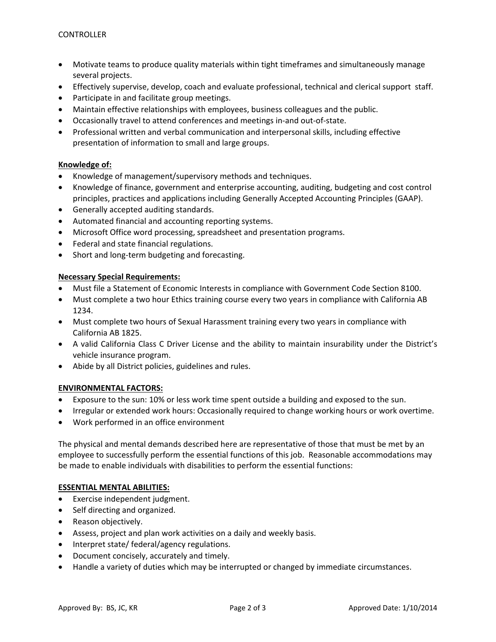- Motivate teams to produce quality materials within tight timeframes and simultaneously manage several projects.
- Effectively supervise, develop, coach and evaluate professional, technical and clerical support staff.
- Participate in and facilitate group meetings.
- Maintain effective relationships with employees, business colleagues and the public.
- Occasionally travel to attend conferences and meetings in‐and out‐of‐state.
- Professional written and verbal communication and interpersonal skills, including effective presentation of information to small and large groups.

# **Knowledge of:**

- Knowledge of management/supervisory methods and techniques.
- Knowledge of finance, government and enterprise accounting, auditing, budgeting and cost control principles, practices and applications including Generally Accepted Accounting Principles (GAAP).
- Generally accepted auditing standards.
- Automated financial and accounting reporting systems.
- Microsoft Office word processing, spreadsheet and presentation programs.
- Federal and state financial regulations.
- Short and long‐term budgeting and forecasting.

# **Necessary Special Requirements:**

- Must file a Statement of Economic Interests in compliance with Government Code Section 8100.
- Must complete a two hour Ethics training course every two years in compliance with California AB 1234.
- Must complete two hours of Sexual Harassment training every two years in compliance with California AB 1825.
- A valid California Class C Driver License and the ability to maintain insurability under the District's vehicle insurance program.
- Abide by all District policies, guidelines and rules.

# **ENVIRONMENTAL FACTORS:**

- Exposure to the sun: 10% or less work time spent outside a building and exposed to the sun.
- Irregular or extended work hours: Occasionally required to change working hours or work overtime.
- Work performed in an office environment

The physical and mental demands described here are representative of those that must be met by an employee to successfully perform the essential functions of this job. Reasonable accommodations may be made to enable individuals with disabilities to perform the essential functions:

# **ESSENTIAL MENTAL ABILITIES:**

- Exercise independent judgment.
- Self directing and organized.
- Reason objectively.
- Assess, project and plan work activities on a daily and weekly basis.
- Interpret state/ federal/agency regulations.
- Document concisely, accurately and timely.
- Handle a variety of duties which may be interrupted or changed by immediate circumstances.